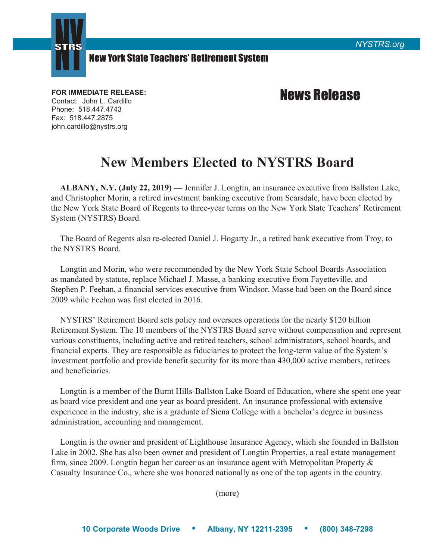



## New York State Teachers' Retirement System

Contact: John L. Cardillo Phone: 518.447.4743 Fax: 518.447.2875 john.cardillo@nystrs.org

## FOR IMMEDIATE RELEASE: **FOR IMMEDIATE RELEASE:**

## **New Members Elected to NYSTRS Board**

**ALBANY, N.Y. (July 22, 2019) —** Jennifer J. Longtin, an insurance executive from Ballston Lake, and Christopher Morin, a retired investment banking executive from Scarsdale, have been elected by the New York State Board of Regents to three-year terms on the New York State Teachers' Retirement System (NYSTRS) Board.

The Board of Regents also re-elected Daniel J. Hogarty Jr., a retired bank executive from Troy, to the NYSTRS Board.

Longtin and Morin, who were recommended by the New York State School Boards Association as mandated by statute, replace Michael J. Masse, a banking executive from Fayetteville, and Stephen P. Feehan, a financial services executive from Windsor. Masse had been on the Board since 2009 while Feehan was first elected in 2016.

NYSTRS' Retirement Board sets policy and oversees operations for the nearly \$120 billion Retirement System. The 10 members of the NYSTRS Board serve without compensation and represent various constituents, including active and retired teachers, school administrators, school boards, and financial experts. They are responsible as fiduciaries to protect the long-term value of the System's investment portfolio and provide benefit security for its more than 430,000 active members, retirees and beneficiaries.

Longtin is a member of the Burnt Hills-Ballston Lake Board of Education, where she spent one year as board vice president and one year as board president. An insurance professional with extensive experience in the industry, she is a graduate of Siena College with a bachelor's degree in business administration, accounting and management.

Longtin is the owner and president of Lighthouse Insurance Agency, which she founded in Ballston Lake in 2002. She has also been owner and president of Longtin Properties, a real estate management firm, since 2009. Longtin began her career as an insurance agent with Metropolitan Property & Casualty Insurance Co., where she was honored nationally as one of the top agents in the country.

(more)